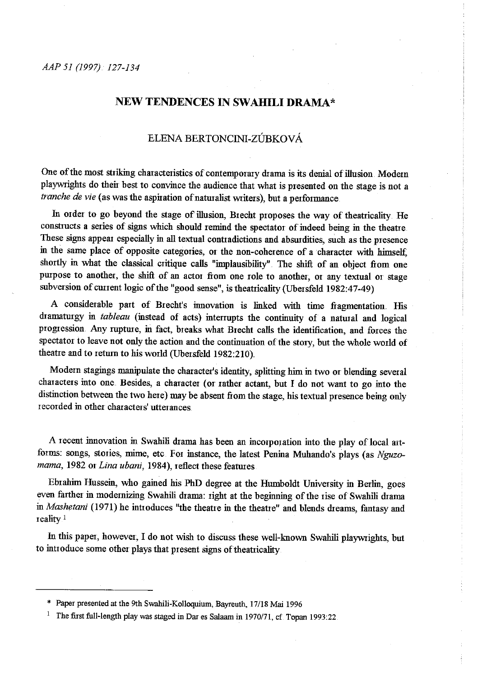# **NEW TENDENCES IN SW AHILI DRAMA\***

## ELENA BERTONCINI-ZÚBKOVÁ

One of the most striking characteristics of contemporary drama is its denial of illusion. Modern <sup>p</sup>laywrights do their best to convince the audience that what is presented on the stage is not a *tranche de vie* (as was the aspiration of naturalist writers), but a performance

In order to go beyond the stage of illusion, Brecht proposes the way of theatricality. He constructs a series of signs which should remind the spectator of indeed being in the theatre. These signs appear especially in all textual contradictions and absurdities, such as the presence in the same place of opposite categories, or the non-coherence of a character with himself, shortly in what the classical critique calls "implausibility". The shift of an object from one purpose to another, the shift of an actor from one role to another, or any textual or stage subversion of current logic of the "good sense", is theatricality (Ubersfeld 1982:47-49)

A considerable part of Brecht's innovation is linked with time fragmentation. His dramaturgy in *tableau* (instead of acts) interrupts the continuity of a natural and logical progression. Any rupture, in fact, breaks what Brecht calls the identification, and forces the spectator to leave not only the action and the continuation of the story, but the whole world of theatre and to return to his wotld (Ubersfeld 1982:210)..

Modern stagings manipulate the character's identity, splitting him in two or blending several characters into one. Besides, a character (or rather actant, but I do not want to go into the distinction between the two here) may be absent from the stage, his textual presence being only recorded m other characters' utterances.

A recent innovation in Swahili drama has been an incorporation into the play of local artforms: songs, stories, mime, etc. For instance, the latest Penina Muhando's plays (as *Nguzomama,* 1982 or *Lina ubani,* 1984), reflect these features

Ebrahim Hussein, who gained his PhD degree at the Humboldt University in Berlin, goes even farther in modernizing Swahili drama: right at the beginning of the rise of Swahili drama in *Mashetani* (1971) he introduces "the theatre in the theatre" and blends dreams, fantasy and reality <sup>1</sup>

In this paper, however, I do not wish to discuss these well-known Swalrili playwrights, but to introduce some other plays that present signs of theatricality

<sup>\*</sup> Paper presented at the 9th Swahili-Kolloquium, Bayreuth, 17/18 Mai 1996

<sup>&</sup>lt;sup>1</sup> The first full-length play was staged in Dar es Salaam in 1970/71, cf. Topan 1993:22.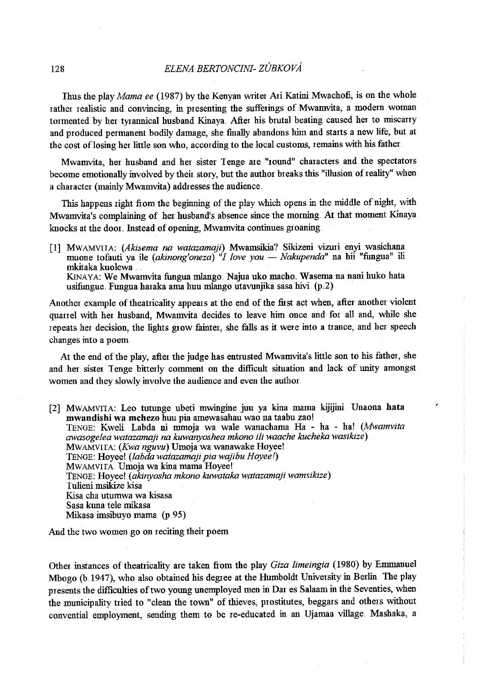Thus the play *Mama ee* (1987) by the Kenyan Wiiter Aii Katini Mwachofi, is on the whole rather realistic and convincing, in presenting the sufferings of Mwamvita, a modem woman tormented by her tyrannical husband Kinaya. After his brutal beating caused her to miscarry and produced permanent bodily damage, she finally abandons him and starts a new life, but at the cost of losing her little son who, according to the local customs, remains with his father

Mwamvita, her husband and her sister Tenge are "round" characters and the spectators become emotionally involved by their story, but the author breaks this "illusion of reality" when a character (mainly Mwamvita) addresses the audience.

This happens right from the beginning of the play which opens in the middle of night, with Mwamvita's complaining of her husband's absence since the morning. At that moment Kinaya knocks at the door. Instead of opening, Mwamvita continues groaning

[1] MWAMVIIA: *(Akisema na watazamaji)* Mwamsikia? Sikizeni vizmi enyi wasichana muone tofauti ya ile *(akinong'oneza)* "*I love you — Nakupenda*" na hii "fungua" ili mkitaka kuolewa ... KINAYA: We Mwamvita fungua mlango. Najua uko macho. Wasema na nani huko hata usifungue. Fungua haraka ama huu mlango utavunjika sasa hivi. (p.2)

Another example of theatricality appears at the end of the first act when, after another violent quarrel with her husband, Mwamvita decides to leave him once and for all and, while she repeats her decision, the lights grow fainter, she falls as it were into a trance, and her speec<sup>h</sup> changes into a poem

At the end of the play, after the judge has entmsted Mwamvita's little son to his father, she and her sister Tenge bitterly comment on the difficult situation and lack of unity amongst **women and they slowly involve the audience and even the authoi.** 

[2] MWAMVITA: Leo tutunge ubeti mwingine juu ya kina mama kijijini Unaona hata mwandishi wa mchezo huu pia amewasahau wao na taabu zao! TENGE: Kweli Labda ni mmoja wa wale wanachama Ha - ha - ha! *(Mwamvita awasogelea watazamaji na kuwanyoshea mkono ili waache kucheka wasikize)*  MWAMVITA: *(Kwa nguvu*) Umoja wa wanawake Hoyee! TENGE: Hoyee! *(labda watazamaji pia wajibu Hoyee* !) MWAMVITA. Umoja wa kina mama Hoyee! TENGE: Hoyee! *(akinyosha mkono kuwataka watazamaji wamsikize)*  Iulieni msikize kisa Kisa cha utumwa wa kisasa Sasa kuna tele mikasa Mikasa imsibuyo mama (p.95)

And the two women go on reciting their poem

Othei instances of theatricality are taken from the play *Giza limeingia* (1980) by Emmanuel Mbogo (b.1947), who also obtained his degree at the Humboldt University in Berlin. The play presents the difficulties of two young unemployed men in Dar es Salaam in the Seventies, when the municipality ttied to "clean the town" of thieves, prostitutes, beggars and others without convential employment, sending them to be re-educated in an Ujamaa village. Mashaka, a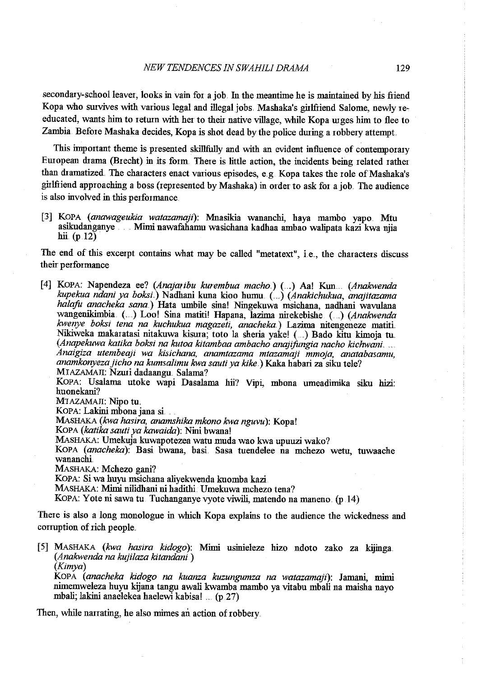secondary-school leaver, looks in vain for a job. In the meantime he is maintained by his friend Kopa who survives with various legal and illegal jobs. Mashaka's girlfriend Salome, newly reeducated, wants him to return with her to their native village, while Kopa urges him to flee to Zambia. Before Mashaka decides, Kopa is shot dead by the police during a robbery attempt.

This important theme is presented skillfully and with an evident influence of contemporary European drama (Brecht) in its form There is little action, the incidents being related rather than dramatized. The characters enact various episodes, e.g. Kopa takes the role of Mashaka's girlfriend approaching a boss (represented by Mashaka) in order to ask for a job. The audience is also involved in this performance.

[3] KOPA *(anawageukia watazamaji)*: Mnasikia wananchi, haya mambo yapo. Mtu asikudanganye . ... Mimi nawafahamu wasichana kadhaa ambao walipata kazi kwa njia hii (p 12)

The end of this excerpt contains what may be called "metatext", i.e., the characters discuss their performance

[4] KOPA: Napendeza ee? *(Anajaribu kurembua macho.)* ( .. ) Aa! Kun ... *(Anakwenda kupekua ndani ya boksi.)* Nadhani kuna kioo humu .. ( . .) *(Anakichukua, anajitazama halafu anacheka sana.*) Hata umbile sina! Ningekuwa msichana, nadhani wavulana<br>wangenikimbia (....) Loo! Sina matiti! Hapana, lazima nirekebishe (....) (Anakwenda kwenye boksi tena na kuchukua magazeti, anacheka.) Lazima nitengeneze matiti Nikiweka makaratasi nitakuwa kisma; toto la sheria yake! ( . .) Bado kitu kimoja tu. *(Anapekuwa katika boksi na kutoa kitambaa ambacho anajifongia nacho kichwani. Anaigiza utembeaji wa kisichana, anamtazama mtazamaji mmoja, anatabasamu, anamkonyeza jicho na kumsalimu kwa sauti ya kike.)* Kaka habaii za siku tele? MIAZAMAJI: Nzuri dadaangu. Salama? KOPA: Usalama utoke wapi Dasalama hii? Vipi, mbona umeadimika siku hizi: huonekani? MTAZAMAJI: Nipo tu. KOPA: Lakini mbona jana si MASHAKA *(kwa haYira, anamshika mkono kwa nguvu):* Kopa! KoPA *(katika sauti ya kawaida):* Nini bwana! MASHAKA: Umekuja kuwapotezea watu muda wao kwa upuuzi wako? KoPA *(anacheka):* Basi bwana, basi. Sasa tuendelee na mchezo wetu, tuwaache wananchi. MASHAKA: Mchezo gani? KOPA: Si wa huyu msichana aliyekwenda kuomba kazi MAsHAKA: Mimi nilidhani ni hadithi. Umekuwa mchezo tena? KOPA: Yote ni sawa tu. Tuchanganye vyote viwili, matendo na maneno (p 14) There is also a long monologue in which Kopa explains to the audience the wickedness and conuption of rich people.

[5] MAsHAKA *(kwa hasira kidogo):* Mimi usinieleze hizo ndoto zako za kijinga *(Anakwenda na kujilaza kitandani* ) *(Kimya)* 

KOPA *(anacheka kidogo na kuanza kuzungumza na watazamaji):* Jamani, mimi nimemweleza huyu kijana tangu awali kwamba mambo ya vitabu mbali na maisha nayo mbali; lakini anaelekea haelewi kabisa! ..... (p .27)

Then, while narrating, he also mimes an action of robbery.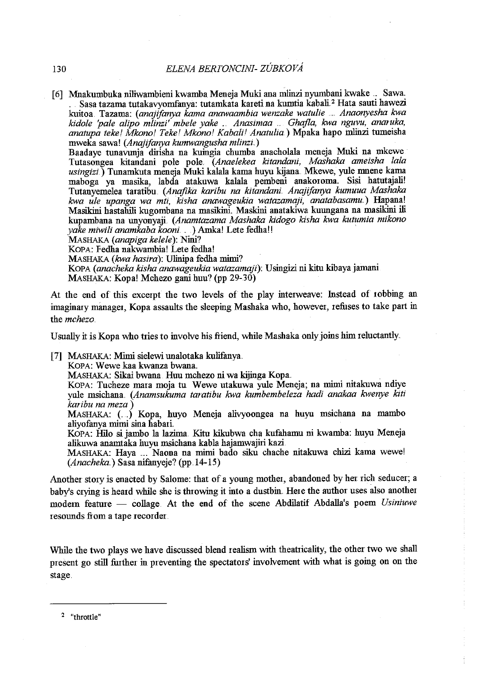[ 6] Mnakumbuka niliwambieni kwamba Meneja Muki ana m1inzi nyumbani kwake . Sawa . Sasa tazama tutakavyomfanya: tutamkata kareti na kumtia kabali<sup>2</sup> Hata sauti hawezi kuitoa. Tazama: *(anajifanya kama anawaambia wenzake watulie* ..... *Anaonyesha kwa kidole 'pale alipo mlinzi' mbele yake* ... *Anasimaa* . *Ghajla, kwa nguvu, ana!Uka, anatupa tekel Mkonol Tekel Mkonol Kabalil Anatulia.)* Mpaka hapo m1inzi turneisha mweka sawa! *(Anajifanya kumwangusha mlinzi)*  Baadaye tunavunja dirisha na kuingia chumba anacholala meneja Muki na mkewe

Tutasongea kitandani pole pole. *(Anaelekea kitandani, Mashaka ameisha !ala usingizi.)* Tunamkuta meneja Muki kalala kama huyu kijana. Mkewe, yule mnene kama maboga ya masika, labda atakuwa kalala pembeni anakoroma. Sisi hatutajali! Tutanyemelea taratibu. *(Anafika karibu na kitandani Anajifanya kumuua Mashaka kwa ule upanga wa mti, kisha anawageukia watazamaji, anatabasamu.)* Hapana! Masikini hastalrili kugombana na masikini. Maskini anatakiwa kuungana na masikini ili kupambana na unyonyaji *(Anamtazama Mashaka kidogo kisha kwa kutumia mikono yake miwili anamkaba kaoni .* .. ) Amka! Lete fedha!! ·

MASHAKA *(anapiga kelele):* Nini?

KOPA: Fedha nakwambia! Lete fedha!

MASHAKA *(kwa hasira):* Ulinipa fedha mimi?

KOPA ( *anacheka kisha anawageukia watazamaji):* U singizi ni kitu kibaya jamani MAsHAKA: Kopa! Mchezo gani huu? (pp 29-30)

At the end of this excerpt the two levels of the play interweave: Instead of robbing an imaginary manager, Kopa assaults the sleeping Mashaka who, however, refuses to take part in the *mchezo* 

Usually it is Kopa who tries to involve his friend, while Mashaka only joins him reluctantly.

[7] MASHAKA: Mimi sielewi unalotaka kulifanya.

KOPA: Wewe kaa kwanza bwana.

MAsHAKA: Sikai bwana Huu mchezo ni wa kijinga Kopa.

KoPA: Tucheze mara moja tu Wewe utakuwa yule Meneja; na mimi nitakuwa ndiye yule msichana. *(Anamsukuma taratibu kwa kumbembeleza hadi anakaa kwenye kiti karibu na meza* )

MASHAKA: ( .. ) Kopa, huyo Meneja alivyoongea na huyu msichana na mambo aliyofanya mimi sina habari.

KOPA: Hilo si jambo la lazima. Kitu kikubwa cha kufahamu ni kwamba: huyu Meneja alikuwa anamtaka huyu msichana kabla hajamwajiri kazi

MAsHAKA: Haya .... Naona na mimi bado siku chache nitakuwa chizi kama wewe! *(Anacheka .. )* Sasa nifanyeje? (pp.J4-15)

Another story is enacted by Salome: that of a young mother, abandoned by her rich seducer; a baby's crying is heard while she is throwing it into a dustbin. Here the author uses also another modern feature - collage. At the end of the scene Abdilatif Abdalla's poem *Usiniuwe* resounds fiom a tape recorder..

While the two plays we have discussed blend realism with theatricality, the other two we shall present go still further in preventing the spectators' involvement with what is going on on the stage

 $2$  "throttle"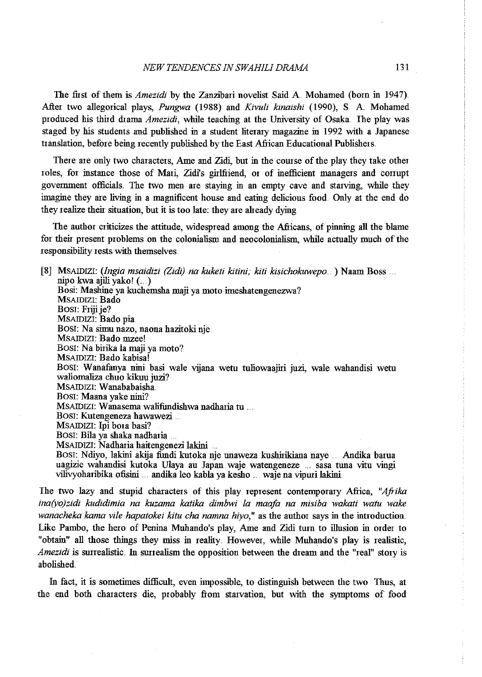### *NEW TENDENCES IN SWAHILI DRAMA* 131

The first of them is *Amezidi* by the Zanzibari novelist Said A Mohamed (born in 1947} After two allegorical plays, *Pungwa* (1988} and *Kivuli kinaishi* (1990), S. A Mohamed produced his third drama *Amezidi*, while teaching at the University of Osaka. The play was staged by his students and published in a student literary magazine in 1992 with a Japanese translation, before being recently published by the East Afiican Educational Publishers.

There are only two characters, Ame and Zidi, but in the comse of the play they take other roles, for instance those of Mari, Zidi's girlfriend, or of inefficient managers and corrupt government officials. The two men are staying in an empty cave and starving, while they imagine they are living in a magnificent house and eating delicious food.. Only at the end do they realize their situation, but it is too late: they are already dying

The author criticizes the attitude, widespread among the Africans, of pinning all the blame for their present problems on the colonialism and neocolonialism, while actually much of the responsibility rests with themselves.

[8] MSAIDIZI: *(lngia msaidizi (Zidi) na kuketi kitini, kiti kisichokuwepo* . ) Naam Boss nipo kwa ajili yako! (... ) Bosi: Mashine ya kuchemsha maji ya moto imeshatengenezwa? MSAIDIZI: Bado Bosi: Friji je? MSAIDIZI: Bado pia. Bosr: Na simu nazo, naona hazitoki nje. MSAIDIZI: Bado mzee! Bosi: Na birika la maji ya moto? MSAIDIZI: Bado kabisa! Bosi: Wanafanya nini basi wale vijana wetu tuliowaajiri juzi, wale wahandisi wetu waliomaliza chuo kikuu juzi? MSAIDIZI: Wanababaisha. Bosr: Maana yake nini? MSAIDIZI: Wanasema walifundishwa nadharia tu . Bosi: Kutengeneza hawawezi MSAIDIZI: lpi bora basi? Bosr: Bila ya shaka nadharia . MSAIDIZI: Nadharia haitengenezi lakini Bosi: Ndiyo, lakini akija fundi kutoka nje unaweza kushirikiana naye ... Andika barua uagizie wahandisi kutoka Ulaya au Japan waje watengeneze sasa tuna vitu vingi vilivyoharibika ofisini .... andika leo kabla ya kesho .... waje na vipuri lakini .

Ihe two lazy and stupid characters of this play represent contemporary Afiica, *"Afrika ina(yo)zidi kudidimia na kuzama katika dimbwi la maafa na misiba wakati watu wake wanacheka kama vile hapatokei kitu cha namna hiyo*," as the author says in the introduction. Like Pambo, the hero of Penina Muhando's play, Ame and Zidi turn to illusion in order to "obtain" all those things they miss in reality. However, while Muhando's play is realistic, *Amezidi* is surrealistic. In surrealism the opposition between the dream and the "real" story is abolished.

In fact, it is sometimes difficult, even impossible, to distinguish between the two Thus, at the end both characters die, probably from starvation, but with the symptoms of food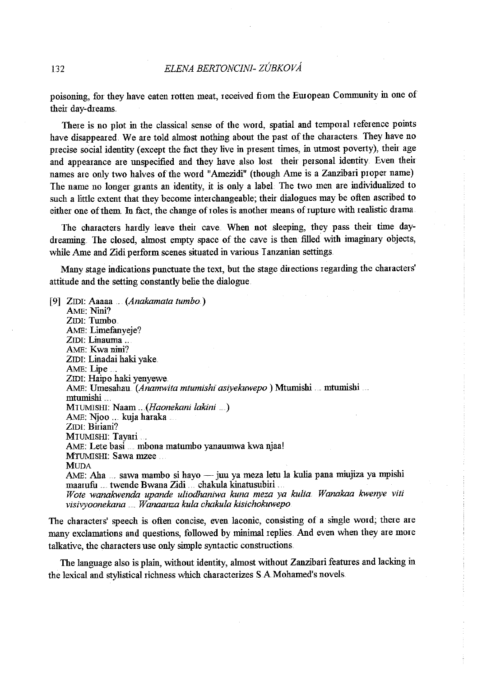poisoning, for they have eaten rotten meat, received from the Emopean Community in one of their day-dreams

There is no plot in the classical sense of the word, spatial and temporal reference points have disappeared. We are told almost nothing about the past of the characters. They have no precise social identity (except the fact they live in present times, in utmost poverty), their age and appearance are unspecified and they have also lost their personal identity. Even their names are only two halves of the word "Amezidi" (though Ame is a Zanzibari proper name) The name no longer grants an identity, it is only a label. The two men are individualized to such a little extent that they become inter changeable; their dialogues may be often ascribed to either one of them. In fact, the change of roles is another means of rupture with realistic drama.

The characters hardly leave their cave.. When not sleeping, they pass their time daydreaming. The closed, almost empty space of the cave is then filled with imaginary objects, while Ame and Zidi perform scenes situated in various Tanzanian settings.

Many stage indications punctuate the text, but the stage directions regarding the characters' attitude and the setting constantly belie the dialogue.

[9] Zrm: Aaaaa . *(Anakamata tumbo.)*  AME: Nini? ZIDI: Tumbo... AME: Limefanyeje? ZIDI: Linauma ... AME: Kwa nini? ZIDI: Linadai haki yake. AME: Lipe... **ZIDI: Haipo haki yenyewe.** AME: Umesahau. *(Anamwita mtumishi asiyekuwepo* ) Mtumisbi . mtumisbi . mtumisbi MIUMISHI: Naam ... *. (Haonekani lakini* ... .) AME: Njoo .. kuja haraka . ZIDI: Biriani? MIUMISHI: Tayari .. AME: Lete basi ... mbona matumbo yanaumwa kwa njaa! MTUMISHI: Sawa mzee . **MUDA** AME: Aha ... sawa mambo si hayo — juu ya meza letu la kulia pana miujiza ya mpishi maamfu ... twende Bwana Zidi .. . chakula kinatusubiri . *Wote wanakwenda upande uliodhannva kuna meza ya kulia. Wanakaa kwenye viti visivyoonekana* .. *Wanaanza kula chakula kisichokuwepo* 

The characters' speech is often concise, even laconic, consisting of a single word; there are many exclamations and questions, followed by minimal replies. And even when they are more talkative, the characters use only simple syntactic constructions.

The language also is plain, without identity, almost without Zanzibari features and lacking in the lexical and stylistical richness which characterizes S.A.Mohamed's novels.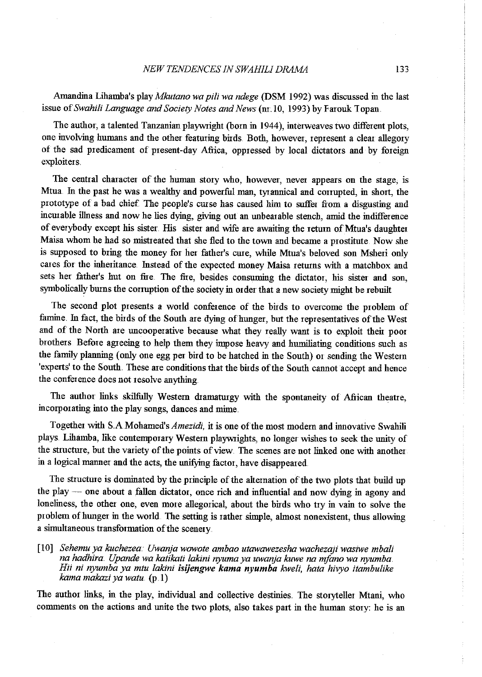### *NEW TENDENCES IN SWAHILI DRAMA* 133

Amandina Lihamba's play *Mkutano wa pili wa ndege* (DSM 1992) was discussed in the last issue of Swahili Language and Society Notes and News (nr. 10, 1993) by Farouk Topan.

The author, a talented Tanzanian playwright (born in 1944), interweaves two different plots, one involving humans and the other featuring birds. Both, however, represent a clear allegory of the sad predicament of present-day Africa, oppressed by local dictators and by foreign exploiters.

The central character of the human story who, however, never appears on the stage, is Mtua. In the past he was a wealthy and powerful man, tyrannical and corrupted, in short, the prototype of a bad chief. The people's curse has caused him to suffer from a disgusting and incurable illness and now he lies dying, giving out an unbearable stench, amid the indifference of everybody except his sister. His sister and wife are awaiting the return of Mtua's daughter Maisa whom he had so mistreated that she fled to the town and became a prostitute. Now she is supposed to bring the money for her father's cure, while Mtua's beloved son Msheri only cares for the inheritance. Instead of the expected money Maisa returns with a matchbox and sets her father's hut on fire. The fire, besides consuming the dictator, his sister and son, symbolically burns the corruption of the society in order that a new society might be rebuilt

The second plot presents a world confetence of the birds to overcome the problem of famine. In fact, the birds of the South are dying of hunger, but the representatives of the West and of the North are uncooperative because what they really want is to exploit their poor brothers Before agreeing to help them they impose heavy and humiliating conditions such as the faruily planning (only one egg per bird to be hatched in the South) or sending the Westem 'experts' to the South. These are conditions that the birds of the South cannot accept and hence  $i$  the conference does not resolve anything.

The author links skilfully Western dramaturgy with the spontaneity of African theatre, incorporating into the play songs, dances and mime.

Together with *S.A.Mohamed's Amezidi*, it is one of the most modern and innovative Swahili plays. Lihamba, like contemporary Western playwrights, no longer wishes to seek the unity of the structure, but the variety of the points of view. The scenes are not linked one with another in a logical manner and the acts, the unifying factor, have disappeared.

The structure is dominated by the principle of the alternation of the two plots that build up the play - one about a fallen dictator, once rich and influential and now dying in agony and loneliness, the other one, even more allegorical, about the birds who try in vain to solve the problem of hunger in the world. The setting is rather simple, almost nonexistent, thus allowing a simultaneous transformation of the scenery.

[10] *Sehemuya kuchezea.· Uwanja wowote ambao utawawezesha wachezaji wasiwe mbali na hadhira. Upande wa katikati lakini nyuma ya uwanja kuwe na mfano wa nyumba. Hii ni nyumba ya mtu lakini isijengwe kama nyumba kweli, hata hivyo itambulike kama makazi ya watu.* (p .1)

The author links, in the play, individual and collective destinies. The storyteller Mtani, who comments on the actions and unite the two plots, also takes part in the human story: he is an